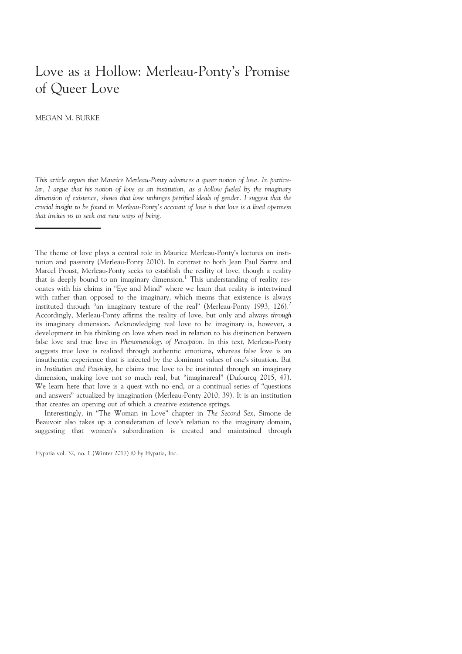# Love as a Hollow: Merleau-Ponty's Promise of Queer Love

MEGAN M. BURKE

This article argues that Maurice Merleau-Ponty advances a queer notion of love. In particular, I argue that his notion of love as an institution, as a hollow fueled by the imaginary dimension of existence, shows that love unhinges petrified ideals of gender. I suggest that the crucial insight to be found in Merleau-Ponty's account of love is that love is a lived openness that invites us to seek out new ways of being.

The theme of love plays a central role in Maurice Merleau-Ponty's lectures on institution and passivity (Merleau-Ponty 2010). In contrast to both Jean Paul Sartre and Marcel Proust, Merleau-Ponty seeks to establish the reality of love, though a reality that is deeply bound to an imaginary dimension.<sup>1</sup> This understanding of reality resonates with his claims in "Eye and Mind" where we learn that reality is intertwined with rather than opposed to the imaginary, which means that existence is always instituted through "an imaginary texture of the real" (Merleau-Ponty 1993, 126).<sup>2</sup> Accordingly, Merleau-Ponty affirms the reality of love, but only and always through its imaginary dimension. Acknowledging real love to be imaginary is, however, a development in his thinking on love when read in relation to his distinction between false love and true love in Phenomenology of Perception. In this text, Merleau-Ponty suggests true love is realized through authentic emotions, whereas false love is an inauthentic experience that is infected by the dominant values of one's situation. But in Institution and Passivity, he claims true love to be instituted through an imaginary dimension, making love not so much real, but "imaginareal" (Dufourcq 2015, 47). We learn here that love is a quest with no end, or a continual series of "questions and answers" actualized by imagination (Merleau-Ponty 2010, 39). It is an institution that creates an opening out of which a creative existence springs.

Interestingly, in "The Woman in Love" chapter in The Second Sex, Simone de Beauvoir also takes up a consideration of love's relation to the imaginary domain, suggesting that women's subordination is created and maintained through

Hypatia vol. 32, no. 1 (Winter 2017) © by Hypatia, Inc.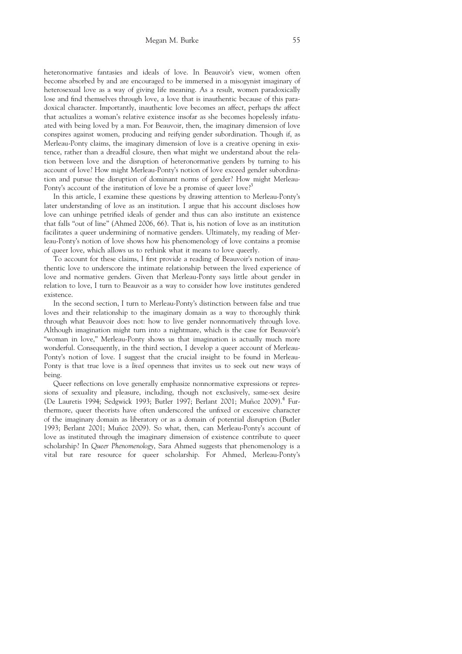heteronormative fantasies and ideals of love. In Beauvoir's view, women often become absorbed by and are encouraged to be immersed in a misogynist imaginary of heterosexual love as a way of giving life meaning. As a result, women paradoxically lose and find themselves through love, a love that is inauthentic because of this paradoxical character. Importantly, inauthentic love becomes an affect, perhaps the affect that actualizes a woman's relative existence insofar as she becomes hopelessly infatuated with being loved by a man. For Beauvoir, then, the imaginary dimension of love conspires against women, producing and reifying gender subordination. Though if, as Merleau-Ponty claims, the imaginary dimension of love is a creative opening in existence, rather than a dreadful closure, then what might we understand about the relation between love and the disruption of heteronormative genders by turning to his account of love? How might Merleau-Ponty's notion of love exceed gender subordination and pursue the disruption of dominant norms of gender? How might Merleau-Ponty's account of the institution of love be a promise of queer love?<sup>3</sup>

In this article, I examine these questions by drawing attention to Merleau-Ponty's later understanding of love as an institution. I argue that his account discloses how love can unhinge petrified ideals of gender and thus can also institute an existence that falls "out of line" (Ahmed 2006, 66). That is, his notion of love as an institution facilitates a queer undermining of normative genders. Ultimately, my reading of Merleau-Ponty's notion of love shows how his phenomenology of love contains a promise of queer love, which allows us to rethink what it means to love queerly.

To account for these claims, I first provide a reading of Beauvoir's notion of inauthentic love to underscore the intimate relationship between the lived experience of love and normative genders. Given that Merleau-Ponty says little about gender in relation to love, I turn to Beauvoir as a way to consider how love institutes gendered existence.

In the second section, I turn to Merleau-Ponty's distinction between false and true loves and their relationship to the imaginary domain as a way to thoroughly think through what Beauvoir does not: how to live gender nonnormatively through love. Although imagination might turn into a nightmare, which is the case for Beauvoir's "woman in love," Merleau-Ponty shows us that imagination is actually much more wonderful. Consequently, in the third section, I develop a queer account of Merleau-Ponty's notion of love. I suggest that the crucial insight to be found in Merleau-Ponty is that true love is a lived openness that invites us to seek out new ways of being.

Queer reflections on love generally emphasize nonnormative expressions or repressions of sexuality and pleasure, including, though not exclusively, same-sex desire (De Lauretis 1994; Sedgwick 1993; Butler 1997; Berlant 2001; Muñoz 2009).<sup>4</sup> Furthermore, queer theorists have often underscored the unfixed or excessive character of the imaginary domain as liberatory or as a domain of potential disruption (Butler 1993; Berlant 2001; Muñoz 2009). So what, then, can Merleau-Ponty's account of love as instituted through the imaginary dimension of existence contribute to queer scholarship? In Queer Phenomenology, Sara Ahmed suggests that phenomenology is a vital but rare resource for queer scholarship. For Ahmed, Merleau-Ponty's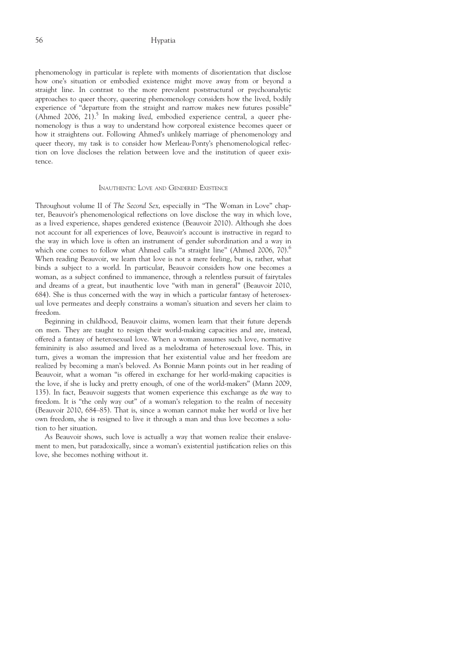phenomenology in particular is replete with moments of disorientation that disclose how one's situation or embodied existence might move away from or beyond a straight line. In contrast to the more prevalent poststructural or psychoanalytic approaches to queer theory, queering phenomenology considers how the lived, bodily experience of "departure from the straight and narrow makes new futures possible" (Ahmed 2006, 21).<sup>5</sup> In making lived, embodied experience central, a queer phenomenology is thus a way to understand how corporeal existence becomes queer or how it straightens out. Following Ahmed's unlikely marriage of phenomenology and queer theory, my task is to consider how Merleau-Ponty's phenomenological reflection on love discloses the relation between love and the institution of queer existence.

#### INAUTHENTIC LOVE AND GENDERED EXISTENCE

Throughout volume II of The Second Sex, especially in "The Woman in Love" chapter, Beauvoir's phenomenological reflections on love disclose the way in which love, as a lived experience, shapes gendered existence (Beauvoir 2010). Although she does not account for all experiences of love, Beauvoir's account is instructive in regard to the way in which love is often an instrument of gender subordination and a way in which one comes to follow what Ahmed calls "a straight line" (Ahmed 2006, 70).<sup>6</sup> When reading Beauvoir, we learn that love is not a mere feeling, but is, rather, what binds a subject to a world. In particular, Beauvoir considers how one becomes a woman, as a subject confined to immanence, through a relentless pursuit of fairytales and dreams of a great, but inauthentic love "with man in general" (Beauvoir 2010, 684). She is thus concerned with the way in which a particular fantasy of heterosexual love permeates and deeply constrains a woman's situation and severs her claim to freedom.

Beginning in childhood, Beauvoir claims, women learn that their future depends on men. They are taught to resign their world-making capacities and are, instead, offered a fantasy of heterosexual love. When a woman assumes such love, normative femininity is also assumed and lived as a melodrama of heterosexual love. This, in turn, gives a woman the impression that her existential value and her freedom are realized by becoming a man's beloved. As Bonnie Mann points out in her reading of Beauvoir, what a woman "is offered in exchange for her world-making capacities is the love, if she is lucky and pretty enough, of one of the world-makers" (Mann 2009, 135). In fact, Beauvoir suggests that women experience this exchange as the way to freedom. It is "the only way out" of a woman's relegation to the realm of necessity (Beauvoir 2010, 684–85). That is, since a woman cannot make her world or live her own freedom, she is resigned to live it through a man and thus love becomes a solution to her situation.

As Beauvoir shows, such love is actually a way that women realize their enslavement to men, but paradoxically, since a woman's existential justification relies on this love, she becomes nothing without it.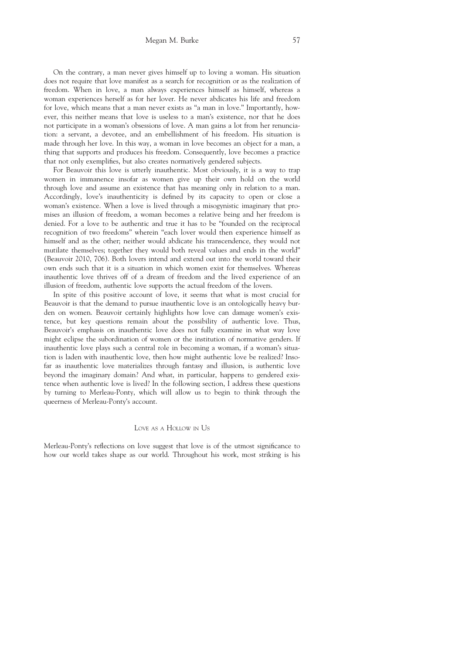On the contrary, a man never gives himself up to loving a woman. His situation does not require that love manifest as a search for recognition or as the realization of freedom. When in love, a man always experiences himself as himself, whereas a woman experiences herself as for her lover. He never abdicates his life and freedom for love, which means that a man never exists as "a man in love." Importantly, however, this neither means that love is useless to a man's existence, nor that he does not participate in a woman's obsessions of love. A man gains a lot from her renunciation: a servant, a devotee, and an embellishment of his freedom. His situation is made through her love. In this way, a woman in love becomes an object for a man, a thing that supports and produces his freedom. Consequently, love becomes a practice that not only exemplifies, but also creates normatively gendered subjects.

For Beauvoir this love is utterly inauthentic. Most obviously, it is a way to trap women in immanence insofar as women give up their own hold on the world through love and assume an existence that has meaning only in relation to a man. Accordingly, love's inauthenticity is defined by its capacity to open or close a woman's existence. When a love is lived through a misogynistic imaginary that promises an illusion of freedom, a woman becomes a relative being and her freedom is denied. For a love to be authentic and true it has to be "founded on the reciprocal recognition of two freedoms" wherein "each lover would then experience himself as himself and as the other; neither would abdicate his transcendence, they would not mutilate themselves; together they would both reveal values and ends in the world" (Beauvoir 2010, 706). Both lovers intend and extend out into the world toward their own ends such that it is a situation in which women exist for themselves. Whereas inauthentic love thrives off of a dream of freedom and the lived experience of an illusion of freedom, authentic love supports the actual freedom of the lovers.

In spite of this positive account of love, it seems that what is most crucial for Beauvoir is that the demand to pursue inauthentic love is an ontologically heavy burden on women. Beauvoir certainly highlights how love can damage women's existence, but key questions remain about the possibility of authentic love. Thus, Beauvoir's emphasis on inauthentic love does not fully examine in what way love might eclipse the subordination of women or the institution of normative genders. If inauthentic love plays such a central role in becoming a woman, if a woman's situation is laden with inauthentic love, then how might authentic love be realized? Insofar as inauthentic love materializes through fantasy and illusion, is authentic love beyond the imaginary domain? And what, in particular, happens to gendered existence when authentic love is lived? In the following section, I address these questions by turning to Merleau-Ponty, which will allow us to begin to think through the queerness of Merleau-Ponty's account.

#### LOVE AS A HOLLOW IN US

Merleau-Ponty's reflections on love suggest that love is of the utmost significance to how our world takes shape as our world. Throughout his work, most striking is his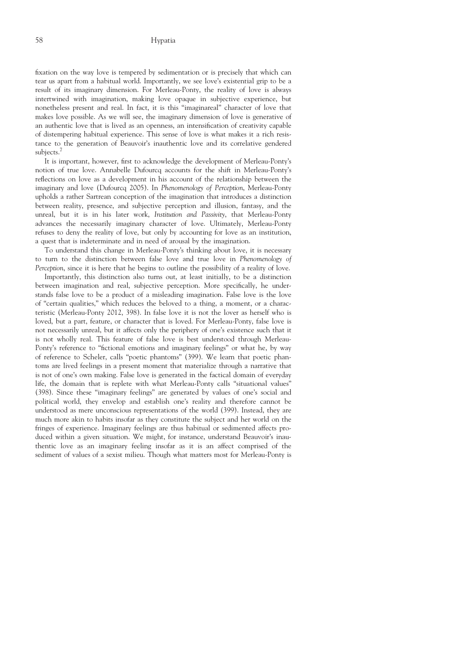fixation on the way love is tempered by sedimentation or is precisely that which can tear us apart from a habitual world. Importantly, we see love's existential grip to be a result of its imaginary dimension. For Merleau-Ponty, the reality of love is always intertwined with imagination, making love opaque in subjective experience, but nonetheless present and real. In fact, it is this "imaginareal" character of love that makes love possible. As we will see, the imaginary dimension of love is generative of an authentic love that is lived as an openness, an intensification of creativity capable of distempering habitual experience. This sense of love is what makes it a rich resistance to the generation of Beauvoir's inauthentic love and its correlative gendered subjects.<sup>7</sup>

It is important, however, first to acknowledge the development of Merleau-Ponty's notion of true love. Annabelle Dufourcq accounts for the shift in Merleau-Ponty's reflections on love as a development in his account of the relationship between the imaginary and love (Dufourcq 2005). In Phenomenology of Perception, Merleau-Ponty upholds a rather Sartrean conception of the imagination that introduces a distinction between reality, presence, and subjective perception and illusion, fantasy, and the unreal, but it is in his later work, Institution and Passivity, that Merleau-Ponty advances the necessarily imaginary character of love. Ultimately, Merleau-Ponty refuses to deny the reality of love, but only by accounting for love as an institution, a quest that is indeterminate and in need of arousal by the imagination.

To understand this change in Merleau-Ponty's thinking about love, it is necessary to turn to the distinction between false love and true love in Phenomenology of Perception, since it is here that he begins to outline the possibility of a reality of love.

Importantly, this distinction also turns out, at least initially, to be a distinction between imagination and real, subjective perception. More specifically, he understands false love to be a product of a misleading imagination. False love is the love of "certain qualities," which reduces the beloved to a thing, a moment, or a characteristic (Merleau-Ponty 2012, 398). In false love it is not the lover as herself who is loved, but a part, feature, or character that is loved. For Merleau-Ponty, false love is not necessarily unreal, but it affects only the periphery of one's existence such that it is not wholly real. This feature of false love is best understood through Merleau-Ponty's reference to "fictional emotions and imaginary feelings" or what he, by way of reference to Scheler, calls "poetic phantoms" (399). We learn that poetic phantoms are lived feelings in a present moment that materialize through a narrative that is not of one's own making. False love is generated in the factical domain of everyday life, the domain that is replete with what Merleau-Ponty calls "situational values" (398). Since these "imaginary feelings" are generated by values of one's social and political world, they envelop and establish one's reality and therefore cannot be understood as mere unconscious representations of the world (399). Instead, they are much more akin to habits insofar as they constitute the subject and her world on the fringes of experience. Imaginary feelings are thus habitual or sedimented affects produced within a given situation. We might, for instance, understand Beauvoir's inauthentic love as an imaginary feeling insofar as it is an affect comprised of the sediment of values of a sexist milieu. Though what matters most for Merleau-Ponty is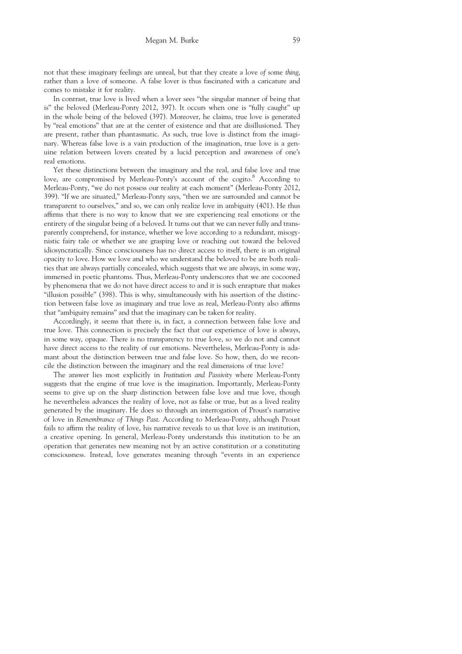not that these imaginary feelings are unreal, but that they create a love of some thing, rather than a love of someone. A false lover is thus fascinated with a caricature and comes to mistake it for reality.

In contrast, true love is lived when a lover sees "the singular manner of being that is" the beloved (Merleau-Ponty 2012, 397). It occurs when one is "fully caught" up in the whole being of the beloved (397). Moreover, he claims, true love is generated by "real emotions" that are at the center of existence and that are disillusioned. They are present, rather than phantasmatic. As such, true love is distinct from the imaginary. Whereas false love is a vain production of the imagination, true love is a genuine relation between lovers created by a lucid perception and awareness of one's real emotions.

Yet these distinctions between the imaginary and the real, and false love and true love, are compromised by Merleau-Ponty's account of the cogito.<sup>8</sup> According to Merleau-Ponty, "we do not possess our reality at each moment" (Merleau-Ponty 2012, 399). "If we are situated," Merleau-Ponty says, "then we are surrounded and cannot be transparent to ourselves," and so, we can only realize love in ambiguity (401). He thus affirms that there is no way to know that we are experiencing real emotions or the entirety of the singular being of a beloved. It turns out that we can never fully and transparently comprehend, for instance, whether we love according to a redundant, misogynistic fairy tale or whether we are grasping love or reaching out toward the beloved idiosyncratically. Since consciousness has no direct access to itself, there is an original opacity to love. How we love and who we understand the beloved to be are both realities that are always partially concealed, which suggests that we are always, in some way, immersed in poetic phantoms. Thus, Merleau-Ponty underscores that we are cocooned by phenomena that we do not have direct access to and it is such enrapture that makes "illusion possible" (398). This is why, simultaneously with his assertion of the distinction between false love as imaginary and true love as real, Merleau-Ponty also affirms that "ambiguity remains" and that the imaginary can be taken for reality.

Accordingly, it seems that there is, in fact, a connection between false love and true love. This connection is precisely the fact that our experience of love is always, in some way, opaque. There is no transparency to true love, so we do not and cannot have direct access to the reality of our emotions. Nevertheless, Merleau-Ponty is adamant about the distinction between true and false love. So how, then, do we reconcile the distinction between the imaginary and the real dimensions of true love?

The answer lies most explicitly in Institution and Passivity where Merleau-Ponty suggests that the engine of true love is the imagination. Importantly, Merleau-Ponty seems to give up on the sharp distinction between false love and true love, though he nevertheless advances the reality of love, not as false or true, but as a lived reality generated by the imaginary. He does so through an interrogation of Proust's narrative of love in Remembrance of Things Past. According to Merleau-Ponty, although Proust fails to affirm the reality of love, his narrative reveals to us that love is an institution, a creative opening. In general, Merleau-Ponty understands this institution to be an operation that generates new meaning not by an active constitution or a constituting consciousness. Instead, love generates meaning through "events in an experience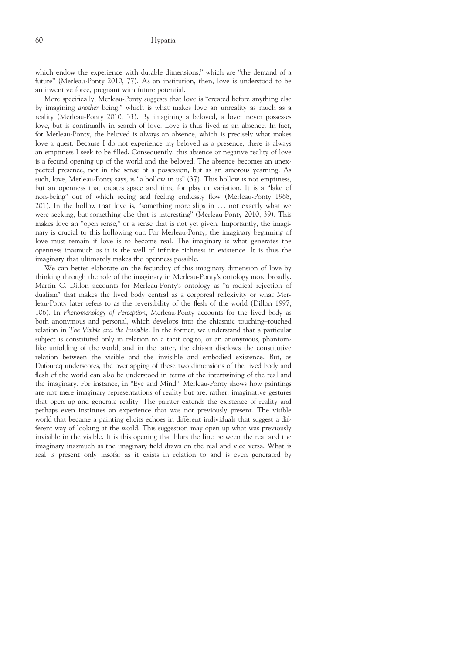which endow the experience with durable dimensions," which are "the demand of a future" (Merleau-Ponty 2010, 77). As an institution, then, love is understood to be an inventive force, pregnant with future potential.

More specifically, Merleau-Ponty suggests that love is "created before anything else by imagining another being," which is what makes love an unreality as much as a reality (Merleau-Ponty 2010, 33). By imagining a beloved, a lover never possesses love, but is continually in search of love. Love is thus lived as an absence. In fact, for Merleau-Ponty, the beloved is always an absence, which is precisely what makes love a quest. Because I do not experience my beloved as a presence, there is always an emptiness I seek to be filled. Consequently, this absence or negative reality of love is a fecund opening up of the world and the beloved. The absence becomes an unexpected presence, not in the sense of a possession, but as an amorous yearning. As such, love, Merleau-Ponty says, is "a hollow in us" (37). This hollow is not emptiness, but an openness that creates space and time for play or variation. It is a "lake of non-being" out of which seeing and feeling endlessly flow (Merleau-Ponty 1968, 201). In the hollow that love is, "something more slips in ... not exactly what we were seeking, but something else that is interesting" (Merleau-Ponty 2010, 39). This makes love an "open sense," or a sense that is not yet given. Importantly, the imaginary is crucial to this hollowing out. For Merleau-Ponty, the imaginary beginning of love must remain if love is to become real. The imaginary is what generates the openness inasmuch as it is the well of infinite richness in existence. It is thus the imaginary that ultimately makes the openness possible.

We can better elaborate on the fecundity of this imaginary dimension of love by thinking through the role of the imaginary in Merleau-Ponty's ontology more broadly. Martin C. Dillon accounts for Merleau-Ponty's ontology as "a radical rejection of dualism" that makes the lived body central as a corporeal reflexivity or what Merleau-Ponty later refers to as the reversibility of the flesh of the world (Dillon 1997, 106). In Phenomenology of Perception, Merleau-Ponty accounts for the lived body as both anonymous and personal, which develops into the chiasmic touching–touched relation in The Visible and the Invisible. In the former, we understand that a particular subject is constituted only in relation to a tacit cogito, or an anonymous, phantomlike unfolding of the world, and in the latter, the chiasm discloses the constitutive relation between the visible and the invisible and embodied existence. But, as Dufourcq underscores, the overlapping of these two dimensions of the lived body and flesh of the world can also be understood in terms of the intertwining of the real and the imaginary. For instance, in "Eye and Mind," Merleau-Ponty shows how paintings are not mere imaginary representations of reality but are, rather, imaginative gestures that open up and generate reality. The painter extends the existence of reality and perhaps even institutes an experience that was not previously present. The visible world that became a painting elicits echoes in different individuals that suggest a different way of looking at the world. This suggestion may open up what was previously invisible in the visible. It is this opening that blurs the line between the real and the imaginary inasmuch as the imaginary field draws on the real and vice versa. What is real is present only insofar as it exists in relation to and is even generated by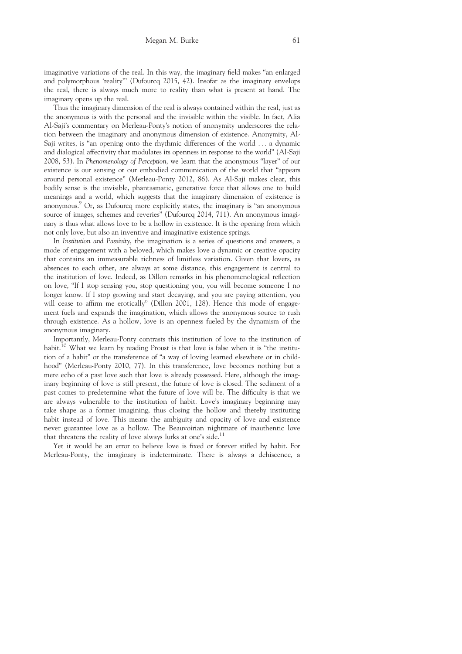imaginative variations of the real. In this way, the imaginary field makes "an enlarged and polymorphous 'reality'" (Dufourcq 2015, 42). Insofar as the imaginary envelops the real, there is always much more to reality than what is present at hand. The imaginary opens up the real.

Thus the imaginary dimension of the real is always contained within the real, just as the anonymous is with the personal and the invisible within the visible. In fact, Alia Al-Saji's commentary on Merleau-Ponty's notion of anonymity underscores the relation between the imaginary and anonymous dimension of existence. Anonymity, Al-Saji writes, is "an opening onto the rhythmic differences of the world ... a dynamic and dialogical affectivity that modulates its openness in response to the world" (Al-Saji 2008, 53). In Phenomenology of Perception, we learn that the anonymous "layer" of our existence is our sensing or our embodied communication of the world that "appears around personal existence" (Merleau-Ponty 2012, 86). As Al-Saji makes clear, this bodily sense is the invisible, phantasmatic, generative force that allows one to build meanings and a world, which suggests that the imaginary dimension of existence is anonymous.<sup>9</sup> Or, as Dufourcq more explicitly states, the imaginary is "an anonymous source of images, schemes and reveries" (Dufourcq 2014, 711). An anonymous imaginary is thus what allows love to be a hollow in existence. It is the opening from which not only love, but also an inventive and imaginative existence springs.

In Institution and Passivity, the imagination is a series of questions and answers, a mode of engagement with a beloved, which makes love a dynamic or creative opacity that contains an immeasurable richness of limitless variation. Given that lovers, as absences to each other, are always at some distance, this engagement is central to the institution of love. Indeed, as Dillon remarks in his phenomenological reflection on love, "If I stop sensing you, stop questioning you, you will become someone I no longer know. If I stop growing and start decaying, and you are paying attention, you will cease to affirm me erotically" (Dillon 2001, 128). Hence this mode of engagement fuels and expands the imagination, which allows the anonymous source to rush through existence. As a hollow, love is an openness fueled by the dynamism of the anonymous imaginary.

Importantly, Merleau-Ponty contrasts this institution of love to the institution of habit.<sup>10</sup> What we learn by reading Proust is that love is false when it is "the institution of a habit" or the transference of "a way of loving learned elsewhere or in childhood" (Merleau-Ponty 2010, 77). In this transference, love becomes nothing but a mere echo of a past love such that love is already possessed. Here, although the imaginary beginning of love is still present, the future of love is closed. The sediment of a past comes to predetermine what the future of love will be. The difficulty is that we are always vulnerable to the institution of habit. Love's imaginary beginning may take shape as a former imagining, thus closing the hollow and thereby instituting habit instead of love. This means the ambiguity and opacity of love and existence never guarantee love as a hollow. The Beauvoirian nightmare of inauthentic love that threatens the reality of love always lurks at one's side.<sup>11</sup>

Yet it would be an error to believe love is fixed or forever stifled by habit. For Merleau-Ponty, the imaginary is indeterminate. There is always a dehiscence, a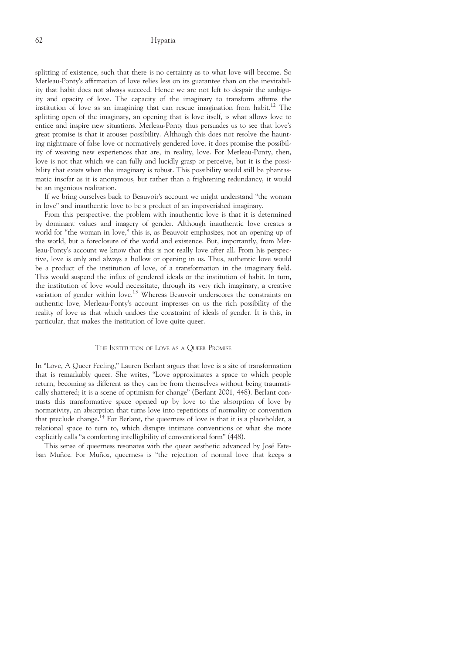splitting of existence, such that there is no certainty as to what love will become. So Merleau-Ponty's affirmation of love relies less on its guarantee than on the inevitability that habit does not always succeed. Hence we are not left to despair the ambiguity and opacity of love. The capacity of the imaginary to transform affirms the institution of love as an imagining that can rescue imagination from habit.<sup>12</sup> The splitting open of the imaginary, an opening that is love itself, is what allows love to entice and inspire new situations. Merleau-Ponty thus persuades us to see that love's great promise is that it arouses possibility. Although this does not resolve the haunting nightmare of false love or normatively gendered love, it does promise the possibility of weaving new experiences that are, in reality, love. For Merleau-Ponty, then, love is not that which we can fully and lucidly grasp or perceive, but it is the possibility that exists when the imaginary is robust. This possibility would still be phantasmatic insofar as it is anonymous, but rather than a frightening redundancy, it would be an ingenious realization.

If we bring ourselves back to Beauvoir's account we might understand "the woman in love" and inauthentic love to be a product of an impoverished imaginary.

From this perspective, the problem with inauthentic love is that it is determined by dominant values and imagery of gender. Although inauthentic love creates a world for "the woman in love," this is, as Beauvoir emphasizes, not an opening up of the world, but a foreclosure of the world and existence. But, importantly, from Merleau-Ponty's account we know that this is not really love after all. From his perspective, love is only and always a hollow or opening in us. Thus, authentic love would be a product of the institution of love, of a transformation in the imaginary field. This would suspend the influx of gendered ideals or the institution of habit. In turn, the institution of love would necessitate, through its very rich imaginary, a creative variation of gender within love.<sup>13</sup> Whereas Beauvoir underscores the constraints on authentic love, Merleau-Ponty's account impresses on us the rich possibility of the reality of love as that which undoes the constraint of ideals of gender. It is this, in particular, that makes the institution of love quite queer.

#### THE INSTITUTION OF LOVE AS A QUEER PROMISE

In "Love, A Queer Feeling," Lauren Berlant argues that love is a site of transformation that is remarkably queer. She writes, "Love approximates a space to which people return, becoming as different as they can be from themselves without being traumatically shattered; it is a scene of optimism for change" (Berlant 2001, 448). Berlant contrasts this transformative space opened up by love to the absorption of love by normativity, an absorption that turns love into repetitions of normality or convention that preclude change.<sup>14</sup> For Berlant, the queerness of love is that it is a placeholder, a relational space to turn to, which disrupts intimate conventions or what she more explicitly calls "a comforting intelligibility of conventional form" (448).

This sense of queerness resonates with the queer aesthetic advanced by José Esteban Muñoz. For Muñoz, queerness is "the rejection of normal love that keeps a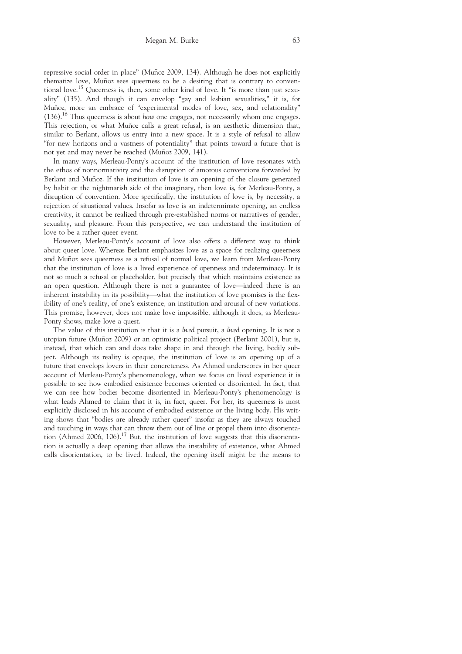repressive social order in place" (Muñoz 2009, 134). Although he does not explicitly thematize love, Muñoz sees queerness to be a desiring that is contrary to conventional love.15 Queerness is, then, some other kind of love. It "is more than just sexuality" (135). And though it can envelop "gay and lesbian sexualities," it is, for Muñoz, more an embrace of "experimental modes of love, sex, and relationality"  $(136).$ <sup>16</sup> Thus queerness is about how one engages, not necessarily whom one engages. This rejection, or what Muñoz calls a great refusal, is an aesthetic dimension that, similar to Berlant, allows us entry into a new space. It is a style of refusal to allow "for new horizons and a vastness of potentiality" that points toward a future that is not yet and may never be reached (Muñoz 2009, 141).

In many ways, Merleau-Ponty's account of the institution of love resonates with the ethos of nonnormativity and the disruption of amorous conventions forwarded by Berlant and Muñoz. If the institution of love is an opening of the closure generated by habit or the nightmarish side of the imaginary, then love is, for Merleau-Ponty, a disruption of convention. More specifically, the institution of love is, by necessity, a rejection of situational values. Insofar as love is an indeterminate opening, an endless creativity, it cannot be realized through pre-established norms or narratives of gender, sexuality, and pleasure. From this perspective, we can understand the institution of love to be a rather queer event.

However, Merleau-Ponty's account of love also offers a different way to think about queer love. Whereas Berlant emphasizes love as a space for realizing queerness and Muñoz sees queerness as a refusal of normal love, we learn from Merleau-Ponty that the institution of love is a lived experience of openness and indeterminacy. It is not so much a refusal or placeholder, but precisely that which maintains existence as an open question. Although there is not a guarantee of love—indeed there is an inherent instability in its possibility—what the institution of love promises is the flexibility of one's reality, of one's existence, an institution and arousal of new variations. This promise, however, does not make love impossible, although it does, as Merleau-Ponty shows, make love a quest.

The value of this institution is that it is a lived pursuit, a lived opening. It is not a utopian future (Munoz 2009) or an optimistic political project (Berlant 2001), but is, ~ instead, that which can and does take shape in and through the living, bodily subject. Although its reality is opaque, the institution of love is an opening up of a future that envelops lovers in their concreteness. As Ahmed underscores in her queer account of Merleau-Ponty's phenomenology, when we focus on lived experience it is possible to see how embodied existence becomes oriented or disoriented. In fact, that we can see how bodies become disoriented in Merleau-Ponty's phenomenology is what leads Ahmed to claim that it is, in fact, queer. For her, its queerness is most explicitly disclosed in his account of embodied existence or the living body. His writing shows that "bodies are already rather queer" insofar as they are always touched and touching in ways that can throw them out of line or propel them into disorientation (Ahmed 2006, 106).<sup>17</sup> But, the institution of love suggests that this disorientation is actually a deep opening that allows the instability of existence, what Ahmed calls disorientation, to be lived. Indeed, the opening itself might be the means to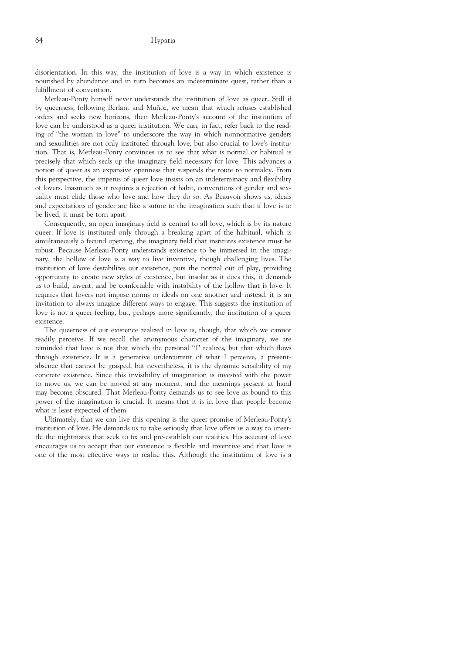disorientation. In this way, the institution of love is a way in which existence is nourished by abundance and in turn becomes an indeterminate quest, rather than a fulfillment of convention.

Merleau-Ponty himself never understands the institution of love as queer. Still if by queerness, following Berlant and Muñoz, we mean that which refuses established orders and seeks new horizons, then Merleau-Ponty's account of the institution of love can be understood as a queer institution. We can, in fact, refer back to the reading of "the woman in love" to underscore the way in which nonnormative genders and sexualities are not only instituted through love, but also crucial to love's institution. That is, Merleau-Ponty convinces us to see that what is normal or habitual is precisely that which seals up the imaginary field necessary for love. This advances a notion of queer as an expansive openness that suspends the route to normalcy. From this perspective, the impetus of queer love insists on an indeterminacy and flexibility of lovers. Inasmuch as it requires a rejection of habit, conventions of gender and sexuality must elide those who love and how they do so. As Beauvoir shows us, ideals and expectations of gender are like a suture to the imagination such that if love is to be lived, it must be torn apart.

Consequently, an open imaginary field is central to all love, which is by its nature queer. If love is instituted only through a breaking apart of the habitual, which is simultaneously a fecund opening, the imaginary field that institutes existence must be robust. Because Merleau-Ponty understands existence to be immersed in the imaginary, the hollow of love is a way to live inventive, though challenging lives. The institution of love destabilizes our existence, puts the normal out of play, providing opportunity to create new styles of existence, but insofar as it does this, it demands us to build, invent, and be comfortable with instability of the hollow that is love. It requires that lovers not impose norms or ideals on one another and instead, it is an invitation to always imagine different ways to engage. This suggests the institution of love is not a queer feeling, but, perhaps more significantly, the institution of a queer existence.

The queerness of our existence realized in love is, though, that which we cannot readily perceive. If we recall the anonymous character of the imaginary, we are reminded that love is not that which the personal "I" realizes, but that which flows through existence. It is a generative undercurrent of what I perceive, a presentabsence that cannot be grasped, but nevertheless, it is the dynamic sensibility of my concrete existence. Since this invisibility of imagination is invested with the power to move us, we can be moved at any moment, and the meanings present at hand may become obscured. That Merleau-Ponty demands us to see love as bound to this power of the imagination is crucial. It means that it is in love that people become what is least expected of them.

Ultimately, that we can live this opening is the queer promise of Merleau-Ponty's institution of love. He demands us to take seriously that love offers us a way to unsettle the nightmares that seek to fix and pre-establish our realities. His account of love encourages us to accept that our existence is flexible and inventive and that love is one of the most effective ways to realize this. Although the institution of love is a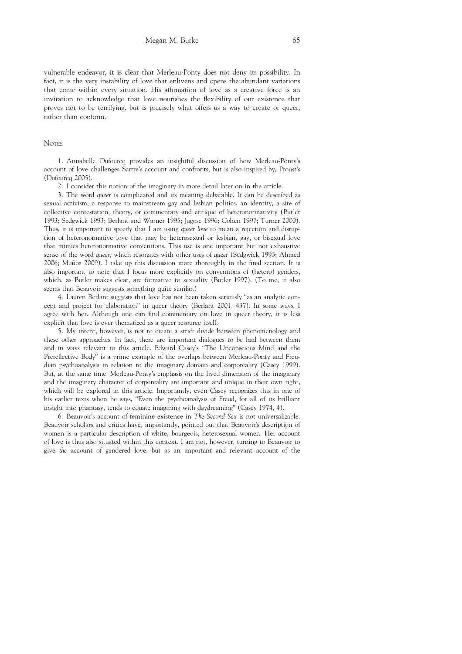vulnerable endeavor, it is clear that Merleau-Ponty does not deny its possibility. In fact, it is the very instability of love that enlivens and opens the abundant variations that come within every situation. His affirmation of love as a creative force is an invitation to acknowledge that love nourishes the flexibility of our existence that proves not to be terrifying, but is precisely what offers us a way to create or queer, rather than conform.

## **NOTES**

1. Annabelle Dufourcq provides an insightful discussion of how Merleau-Ponty's account of love challenges Sartre's account and confronts, but is also inspired by, Proust's (Dufourcq 2005).

2. I consider this notion of the imaginary in more detail later on in the article.

3. The word queer is complicated and its meaning debatable. It can be described as sexual activism, a response to mainstream gay and lesbian politics, an identity, a site of collective contestation, theory, or commentary and critique of heteronormativity (Butler 1993; Sedgwick 1993; Berlant and Warner 1995; Jagose 1996; Cohen 1997; Turner 2000). Thus, it is important to specify that I am using *queer love* to mean a rejection and disruption of heteronormative love that may be heterosexual or lesbian, gay, or bisexual love that mimics heteronormative conventions. This use is one important but not exhaustive sense of the word queer, which resonates with other uses of queer (Sedgwick 1993; Ahmed 2006; Muñoz 2009). I take up this discussion more thoroughly in the final section. It is also important to note that I focus more explicitly on conventions of (hetero) genders, which, as Butler makes clear, are formative to sexuality (Butler 1997). (To me, it also seems that Beauvoir suggests something quite similar.)

4. Lauren Berlant suggests that love has not been taken seriously "as an analytic concept and project for elaboration" in queer theory (Berlant 2001, 437). In some ways, I agree with her. Although one can find commentary on love in queer theory, it is less explicit that love is ever thematized as a queer resource itself.

5. My intent, however, is not to create a strict divide between phenomenology and these other approaches. In fact, there are important dialogues to be had between them and in ways relevant to this article. Edward Casey's "The Unconscious Mind and the Prereflective Body" is a prime example of the overlaps between Merleau-Ponty and Freudian psychoanalysis in relation to the imaginary domain and corporeality (Casey 1999). But, at the same time, Merleau-Ponty's emphasis on the lived dimension of the imaginary and the imaginary character of corporeality are important and unique in their own right, which will be explored in this article. Importantly, even Casey recognizes this in one of his earlier texts when he says, "Even the psychoanalysis of Freud, for all of its brilliant insight into phantasy, tends to equate imagining with daydreaming" (Casey 1974, 4).

6. Beauvoir's account of feminine existence in The Second Sex is not universalizable. Beauvoir scholars and critics have, importantly, pointed out that Beauvoir's description of women is a particular description of white, bourgeois, heterosexual women. Her account of love is thus also situated within this context. I am not, however, turning to Beauvoir to give the account of gendered love, but as an important and relevant account of the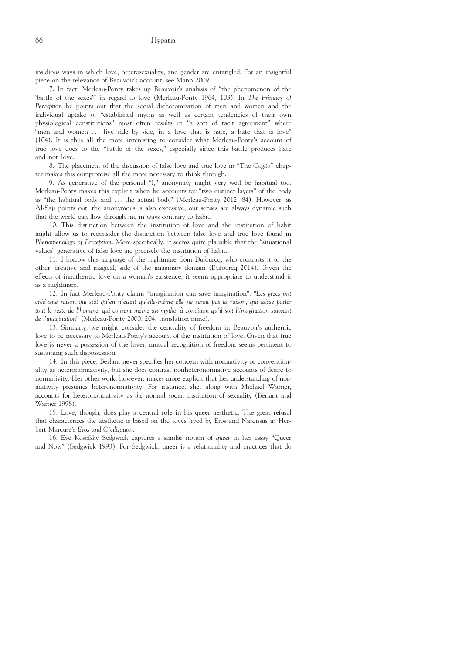insidious ways in which love, heterosexuality, and gender are entangled. For an insightful piece on the relevance of Beauvoir's account, see Mann 2009.

7. In fact, Merleau-Ponty takes up Beauvoir's analysis of "the phenomenon of the 'battle of the sexes'" in regard to love (Merleau-Ponty 1964, 103). In The Primacy of Perception he points out that the social dichotomization of men and women and the individual uptake of "established myths as well as certain tendencies of their own physiological constitutions" most often results in "a sort of tacit agreement" where "men and women ... live side by side, in a love that is hate, a hate that is love" (104). It is thus all the more interesting to consider what Merleau-Ponty's account of true love does to the "battle of the sexes," especially since this battle produces hate and not love.

8. The placement of the discussion of false love and true love in "The Cogito" chapter makes this compromise all the more necessary to think through.

9. As generative of the personal "I," anonymity might very well be habitual too. Merleau-Ponty makes this explicit when he accounts for "two distinct layers" of the body as "the habitual body and ... the actual body" (Merleau-Ponty 2012, 84). However, as Al-Saji points out, the anonymous is also excessive, our senses are always dynamic such that the world can flow through me in ways contrary to habit.

10. This distinction between the institution of love and the institution of habit might allow us to reconsider the distinction between false love and true love found in Phenomenology of Perception. More specifically, it seems quite plausible that the "situational values" generative of false love are precisely the institution of habit.

11. I borrow this language of the nightmare from Dufourcq, who contrasts it to the other, creative and magical, side of the imaginary domain (Dufourcq 2014). Given the effects of inauthentic love on a woman's existence, it seems appropriate to understand it as a nightmare.

12. In fact Merleau-Ponty claims "imagination can save imagination": "Les grecs ont créé une raison qui sait qu'en n'étant qu'elle-même elle ne serait pas la raison, qui laisse parler tout le reste de l'homme, qui consent même au mythe, à condition qu'il soit l'imagination sauvant de l'imagination" (Merleau-Ponty 2000, 204, translation mine).

13. Similarly, we might consider the centrality of freedom in Beauvoir's authentic love to be necessary to Merleau-Ponty's account of the institution of love. Given that true love is never a possession of the lover, mutual recognition of freedom seems pertinent to sustaining such dispossession.

14. In this piece, Berlant never specifies her concern with normativity or conventionality as heteronormativity, but she does contrast nonheteronormative accounts of desire to normativity. Her other work, however, makes more explicit that her understanding of normativity presumes heteronormativity. For instance, she, along with Michael Warner, accounts for heteronormativity as the normal social institution of sexuality (Berlant and Warner 1998).

15. Love, though, does play a central role in his queer aesthetic. The great refusal that characterizes the aesthetic is based on the loves lived by Eros and Narcissus in Herbert Marcuse's Eros and Civilization.

16. Eve Kosofsky Sedgwick captures a similar notion of queer in her essay "Queer and Now" (Sedgwick 1993). For Sedgwick, queer is a relationality and practices that do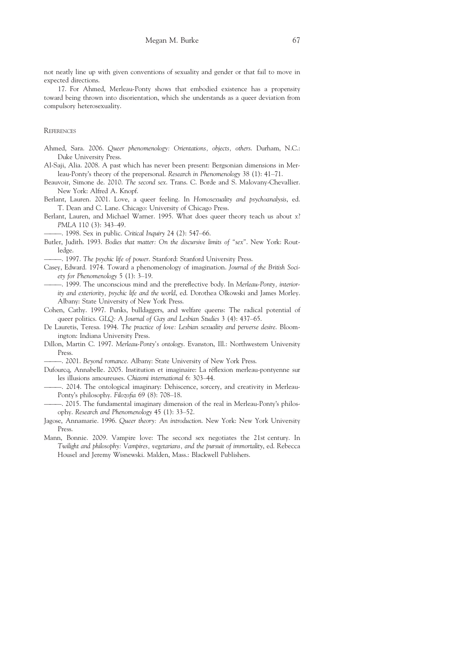not neatly line up with given conventions of sexuality and gender or that fail to move in expected directions.

17. For Ahmed, Merleau-Ponty shows that embodied existence has a propensity toward being thrown into disorientation, which she understands as a queer deviation from compulsory heterosexuality.

## **REFERENCES**

- Ahmed, Sara. 2006. Queer phenomenology: Orientations, objects, others. Durham, N.C.: Duke University Press.
- Al-Saji, Alia. 2008. A past which has never been present: Bergsonian dimensions in Merleau-Ponty's theory of the prepersonal. Research in Phenomenology 38 (1): 41–71.
- Beauvoir, Simone de. 2010. The second sex. Trans. C. Borde and S. Malovany-Chevallier. New York: Alfred A. Knopf.
- Berlant, Lauren. 2001. Love, a queer feeling. In Homosexuality and psychoanalysis, ed. T. Dean and C. Lane. Chicago: University of Chicago Press.
- Berlant, Lauren, and Michael Warner. 1995. What does queer theory teach us about x? PMLA 110 (3): 343–49.
- ———. 1998. Sex in public. Critical Inquiry 24 (2): 547–66.
- Butler, Judith. 1993. Bodies that matter: On the discursive limits of "sex". New York: Routledge.
- -. 1997. The psychic life of power. Stanford: Stanford University Press.
- Casey, Edward. 1974. Toward a phenomenology of imagination. Journal of the British Society for Phenomenology 5 (1): 3–19.
	- 1999. The unconscious mind and the prereflective body. In Merleau-Ponty, interiority and exteriority, psychic life and the world, ed. Dorothea Olkowski and James Morley. Albany: State University of New York Press.
- Cohen, Cathy. 1997. Punks, bulldaggers, and welfare queens: The radical potential of queer politics. GLQ: A Journal of Gay and Lesbian Studies 3 (4): 437–65.
- De Lauretis, Teresa. 1994. The practice of love: Lesbian sexuality and perverse desire. Bloomington: Indiana University Press.
- Dillon, Martin C. 1997. Merleau-Ponty's ontology. Evanston, Ill.: Northwestern University Press.
	- -. 2001. Beyond romance. Albany: State University of New York Press.
- Dufourcq, Annabelle. 2005. Institution et imaginaire: La réflexion merleau-pontyenne sur les illusions amoureuses. Chiasmi international 6: 303–44.
- ———. 2014. The ontological imaginary: Dehiscence, sorcery, and creativity in Merleau-Ponty's philosophy. Filozofia 69 (8): 708–18.
- ———. 2015. The fundamental imaginary dimension of the real in Merleau-Ponty's philosophy. Research and Phenomenology 45 (1): 33–52.
- Jagose, Annamarie. 1996. Queer theory: An introduction. New York: New York University Press.
- Mann, Bonnie. 2009. Vampire love: The second sex negotiates the 21st century. In Twilight and philosophy: Vampires, vegetarians, and the pursuit of immortality, ed. Rebecca Housel and Jeremy Wisnewski. Malden, Mass.: Blackwell Publishers.